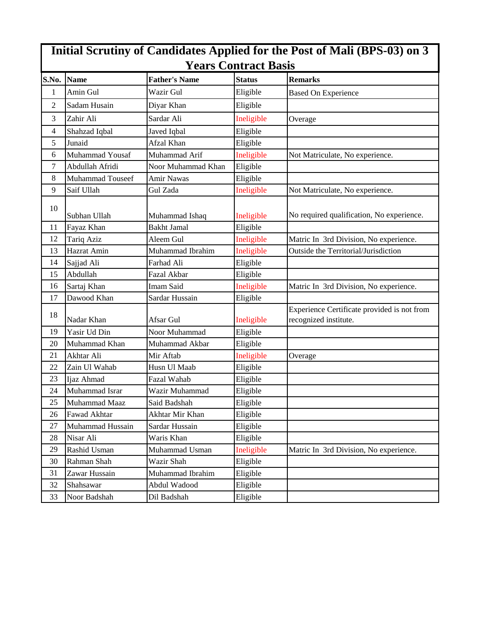| Initial Scrutiny of Candidates Applied for the Post of Mali (BPS-03) on 3<br><b>Years Contract Basis</b> |                         |                      |               |                                                                      |  |  |  |
|----------------------------------------------------------------------------------------------------------|-------------------------|----------------------|---------------|----------------------------------------------------------------------|--|--|--|
| S.No.                                                                                                    | <b>Name</b>             | <b>Father's Name</b> | <b>Status</b> | <b>Remarks</b>                                                       |  |  |  |
| $\mathbf{1}$                                                                                             | Amin Gul                | Wazir Gul            | Eligible      | <b>Based On Experience</b>                                           |  |  |  |
| 2                                                                                                        | Sadam Husain            | Diyar Khan           | Eligible      |                                                                      |  |  |  |
| 3                                                                                                        | Zahir Ali               | Sardar Ali           | Ineligible    | Overage                                                              |  |  |  |
| 4                                                                                                        | Shahzad Iqbal           | Javed Iqbal          | Eligible      |                                                                      |  |  |  |
| 5                                                                                                        | Junaid                  | Afzal Khan           | Eligible      |                                                                      |  |  |  |
| 6                                                                                                        | Muhammad Yousaf         | Muhammad Arif        | Ineligible    | Not Matriculate, No experience.                                      |  |  |  |
| 7                                                                                                        | Abdullah Afridi         | Noor Muhammad Khan   | Eligible      |                                                                      |  |  |  |
| 8                                                                                                        | <b>Muhammad Touseef</b> | <b>Amir Nawas</b>    | Eligible      |                                                                      |  |  |  |
| 9                                                                                                        | Saif Ullah              | Gul Zada             | Ineligible    | Not Matriculate, No experience.                                      |  |  |  |
| 10                                                                                                       | Subhan Ullah            | Muhammad Ishaq       | Ineligible    | No required qualification, No experience.                            |  |  |  |
| 11                                                                                                       | Fayaz Khan              | <b>Bakht Jamal</b>   | Eligible      |                                                                      |  |  |  |
| 12                                                                                                       | Tariq Aziz              | Aleem Gul            | Ineligible    | Matric In 3rd Division, No experience.                               |  |  |  |
| 13                                                                                                       | Hazrat Amin             | Muhammad Ibrahim     | Ineligible    | Outside the Territorial/Jurisdiction                                 |  |  |  |
| 14                                                                                                       | Sajjad Ali              | Farhad Ali           | Eligible      |                                                                      |  |  |  |
| 15                                                                                                       | Abdullah                | Fazal Akbar          | Eligible      |                                                                      |  |  |  |
| 16                                                                                                       | Sartaj Khan             | Imam Said            | Ineligible    | Matric In 3rd Division, No experience.                               |  |  |  |
| 17                                                                                                       | Dawood Khan             | Sardar Hussain       | Eligible      |                                                                      |  |  |  |
| 18                                                                                                       | Nadar Khan              | Afsar Gul            | Ineligible    | Experience Certificate provided is not from<br>recognized institute. |  |  |  |
| 19                                                                                                       | Yasir Ud Din            | Noor Muhammad        | Eligible      |                                                                      |  |  |  |
| 20                                                                                                       | Muhammad Khan           | Muhammad Akbar       | Eligible      |                                                                      |  |  |  |
| 21                                                                                                       | Akhtar Ali              | Mir Aftab            | Ineligible    | Overage                                                              |  |  |  |
| 22                                                                                                       | Zain Ul Wahab           | Husn Ul Maab         | Eligible      |                                                                      |  |  |  |
| 23                                                                                                       | Ijaz Ahmad              | Fazal Wahab          | Eligible      |                                                                      |  |  |  |
| 24                                                                                                       | Muhammad Israr          | Wazir Muhammad       | Eligible      |                                                                      |  |  |  |
| 25                                                                                                       | Muhammad Maaz           | Said Badshah         | Eligible      |                                                                      |  |  |  |
| 26                                                                                                       | Fawad Akhtar            | Akhtar Mir Khan      | Eligible      |                                                                      |  |  |  |
| 27                                                                                                       | Muhammad Hussain        | Sardar Hussain       | Eligible      |                                                                      |  |  |  |
| 28                                                                                                       | Nisar Ali               | Waris Khan           | Eligible      |                                                                      |  |  |  |
| 29                                                                                                       | Rashid Usman            | Muhammad Usman       | Ineligible    | Matric In 3rd Division, No experience.                               |  |  |  |
| 30                                                                                                       | Rahman Shah             | Wazir Shah           | Eligible      |                                                                      |  |  |  |
| 31                                                                                                       | Zawar Hussain           | Muhammad Ibrahim     | Eligible      |                                                                      |  |  |  |
| 32                                                                                                       | Shahsawar               | Abdul Wadood         | Eligible      |                                                                      |  |  |  |
| 33                                                                                                       | Noor Badshah            | Dil Badshah          | Eligible      |                                                                      |  |  |  |